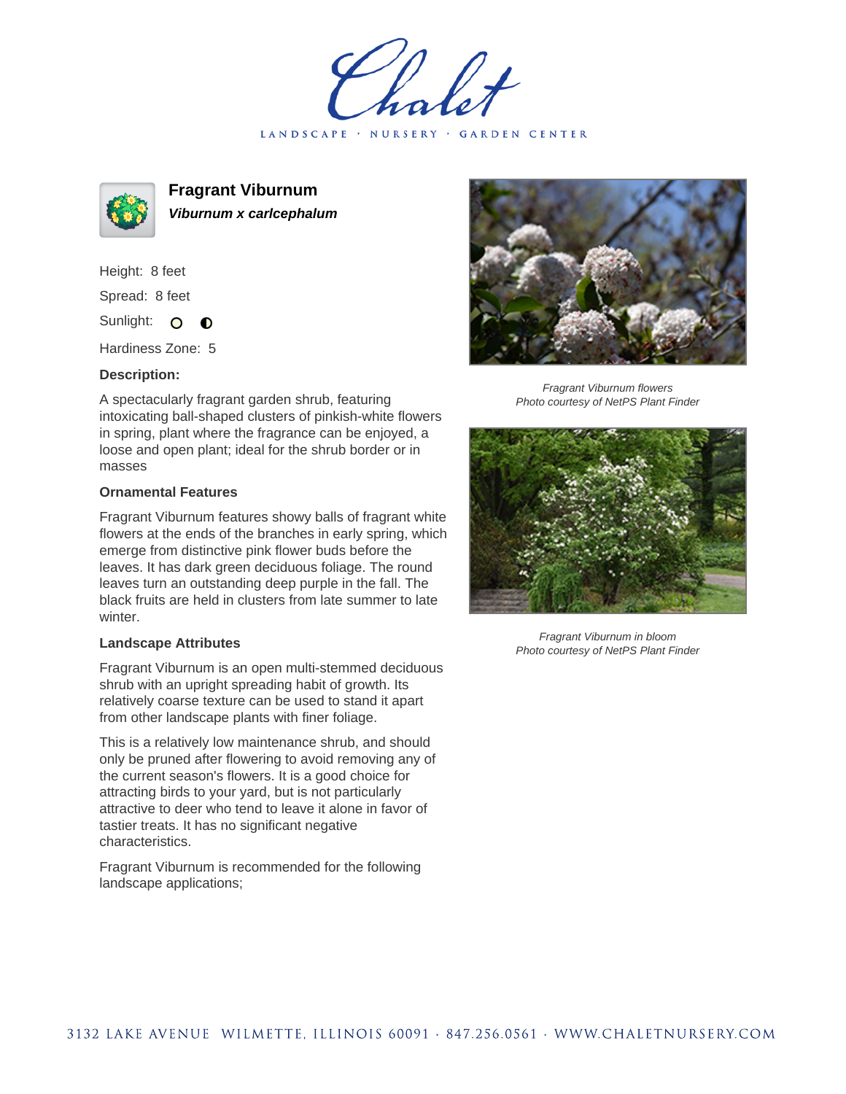LANDSCAPE · NURSERY · GARDEN CENTER



**Fragrant Viburnum Viburnum x carlcephalum**

Height: 8 feet Spread: 8 feet Sunlight: O

Hardiness Zone: 5

 $\bullet$ 

## **Description:**

A spectacularly fragrant garden shrub, featuring intoxicating ball-shaped clusters of pinkish-white flowers in spring, plant where the fragrance can be enjoyed, a loose and open plant; ideal for the shrub border or in masses

## **Ornamental Features**

Fragrant Viburnum features showy balls of fragrant white flowers at the ends of the branches in early spring, which emerge from distinctive pink flower buds before the leaves. It has dark green deciduous foliage. The round leaves turn an outstanding deep purple in the fall. The black fruits are held in clusters from late summer to late winter.

## **Landscape Attributes**

Fragrant Viburnum is an open multi-stemmed deciduous shrub with an upright spreading habit of growth. Its relatively coarse texture can be used to stand it apart from other landscape plants with finer foliage.

This is a relatively low maintenance shrub, and should only be pruned after flowering to avoid removing any of the current season's flowers. It is a good choice for attracting birds to your yard, but is not particularly attractive to deer who tend to leave it alone in favor of tastier treats. It has no significant negative characteristics.

Fragrant Viburnum is recommended for the following landscape applications;



Fragrant Viburnum flowers Photo courtesy of NetPS Plant Finder



Fragrant Viburnum in bloom Photo courtesy of NetPS Plant Finder